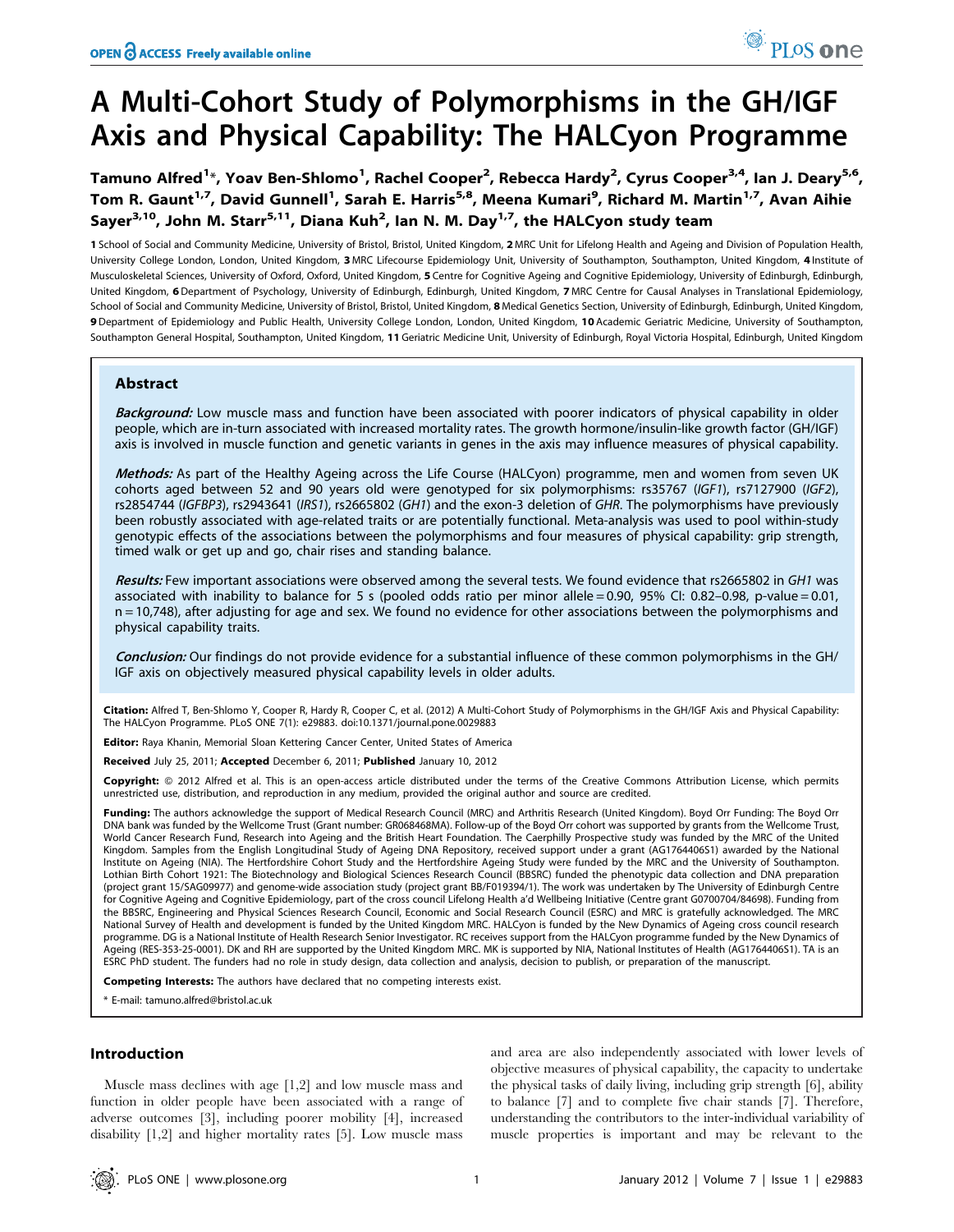# A Multi-Cohort Study of Polymorphisms in the GH/IGF Axis and Physical Capability: The HALCyon Programme

Tamuno Alfred<sup>1</sup>\*, Yoav Ben-Shlomo<sup>1</sup>, Rachel Cooper<sup>2</sup>, Rebecca Hardy<sup>2</sup>, Cyrus Cooper<sup>3,4</sup>, Ian J. Deary<sup>5,6</sup>, Tom R. Gaunt<sup>1,7</sup>, David Gunnell<sup>1</sup>, Sarah E. Harris<sup>5,8</sup>, Meena Kumari<sup>9</sup>, Richard M. Martin<sup>1,7</sup>, Avan Aihie Sayer<sup>3,10</sup>, John M. Starr<sup>5,11</sup>, Diana Kuh<sup>2</sup>, Ian N. M. Day<sup>1,7</sup>, the HALCyon study team

1 School of Social and Community Medicine, University of Bristol, Bristol, United Kingdom, 2 MRC Unit for Lifelong Health and Ageing and Division of Population Health, University College London, London, United Kingdom, 3 MRC Lifecourse Epidemiology Unit, University of Southampton, Southampton, United Kingdom, 4 Institute of Musculoskeletal Sciences, University of Oxford, Oxford, United Kingdom, 5 Centre for Cognitive Ageing and Cognitive Epidemiology, University of Edinburgh, Edinburgh, United Kingdom, 6Department of Psychology, University of Edinburgh, Edinburgh, United Kingdom, 7 MRC Centre for Causal Analyses in Translational Epidemiology, School of Social and Community Medicine, University of Bristol, Bristol, United Kingdom, 8 Medical Genetics Section, University of Edinburgh, Edinburgh, United Kingdom, 9 Department of Epidemiology and Public Health, University College London, London, United Kingdom, 10 Academic Geriatric Medicine, University of Southampton, Southampton General Hospital, Southampton, United Kingdom, 11 Geriatric Medicine Unit, University of Edinburgh, Royal Victoria Hospital, Edinburgh, United Kingdom

# Abstract

Background: Low muscle mass and function have been associated with poorer indicators of physical capability in older people, which are in-turn associated with increased mortality rates. The growth hormone/insulin-like growth factor (GH/IGF) axis is involved in muscle function and genetic variants in genes in the axis may influence measures of physical capability.

Methods: As part of the Healthy Ageing across the Life Course (HALCyon) programme, men and women from seven UK cohorts aged between 52 and 90 years old were genotyped for six polymorphisms: rs35767 (IGF1), rs7127900 (IGF2), rs2854744 (IGFBP3), rs2943641 (IRS1), rs2665802 (GH1) and the exon-3 deletion of GHR. The polymorphisms have previously been robustly associated with age-related traits or are potentially functional. Meta-analysis was used to pool within-study genotypic effects of the associations between the polymorphisms and four measures of physical capability: grip strength, timed walk or get up and go, chair rises and standing balance.

Results: Few important associations were observed among the several tests. We found evidence that rs2665802 in GH1 was associated with inability to balance for 5 s (pooled odds ratio per minor allele = 0.90, 95% CI: 0.82–0.98, p-value = 0.01, n = 10,748), after adjusting for age and sex. We found no evidence for other associations between the polymorphisms and physical capability traits.

Conclusion: Our findings do not provide evidence for a substantial influence of these common polymorphisms in the GH/ IGF axis on objectively measured physical capability levels in older adults.

Citation: Alfred T, Ben-Shlomo Y, Cooper R, Hardy R, Cooper C, et al. (2012) A Multi-Cohort Study of Polymorphisms in the GH/IGF Axis and Physical Capability: The HALCyon Programme. PLoS ONE 7(1): e29883. doi:10.1371/journal.pone.0029883

Editor: Raya Khanin, Memorial Sloan Kettering Cancer Center, United States of America

Received July 25, 2011; Accepted December 6, 2011; Published January 10, 2012

Copyright: © 2012 Alfred et al. This is an open-access article distributed under the terms of the Creative Commons Attribution License, which permits unrestricted use, distribution, and reproduction in any medium, provided the original author and source are credited.

Funding: The authors acknowledge the support of Medical Research Council (MRC) and Arthritis Research (United Kingdom). Boyd Orr Funding: The Boyd Orr DNA bank was funded by the Wellcome Trust (Grant number: GR068468MA). Follow-up of the Boyd Orr cohort was supported by grants from the Wellcome Trust, World Cancer Research Fund, Research into Ageing and the British Heart Foundation. The Caerphilly Prospective study was funded by the MRC of the United Kingdom. Samples from the English Longitudinal Study of Ageing DNA Repository, received support under a grant (AG1764406S1) awarded by the National Institute on Ageing (NIA). The Hertfordshire Cohort Study and the Hertfordshire Ageing Study were funded by the MRC and the University of Southampton. Lothian Birth Cohort 1921: The Biotechnology and Biological Sciences Research Council (BBSRC) funded the phenotypic data collection and DNA preparation (project grant 15/SAG09977) and genome-wide association study (project grant BB/F019394/1). The work was undertaken by The University of Edinburgh Centre for Cognitive Ageing and Cognitive Epidemiology, part of the cross council Lifelong Health a'd Wellbeing Initiative (Centre grant G0700704/84698). Funding from the BBSRC, Engineering and Physical Sciences Research Council, Economic and Social Research Council (ESRC) and MRC is gratefully acknowledged. The MRC National Survey of Health and development is funded by the United Kingdom MRC. HALCyon is funded by the New Dynamics of Ageing cross council research programme. DG is a National Institute of Health Research Senior Investigator. RC receives support from the HALCyon programme funded by the New Dynamics of Ageing (RES-353-25-0001). DK and RH are supported by the United Kingdom MRC. MK is supported by NIA, National Institutes of Health (AG1764406S1). TA is an ESRC PhD student. The funders had no role in study design, data collection and analysis, decision to publish, or preparation of the manuscript.

Competing Interests: The authors have declared that no competing interests exist.

\* E-mail: tamuno.alfred@bristol.ac.uk

# Introduction

Muscle mass declines with age [1,2] and low muscle mass and function in older people have been associated with a range of adverse outcomes [3], including poorer mobility [4], increased disability [1,2] and higher mortality rates [5]. Low muscle mass

and area are also independently associated with lower levels of objective measures of physical capability, the capacity to undertake the physical tasks of daily living, including grip strength [6], ability to balance [7] and to complete five chair stands [7]. Therefore, understanding the contributors to the inter-individual variability of muscle properties is important and may be relevant to the

PLoS one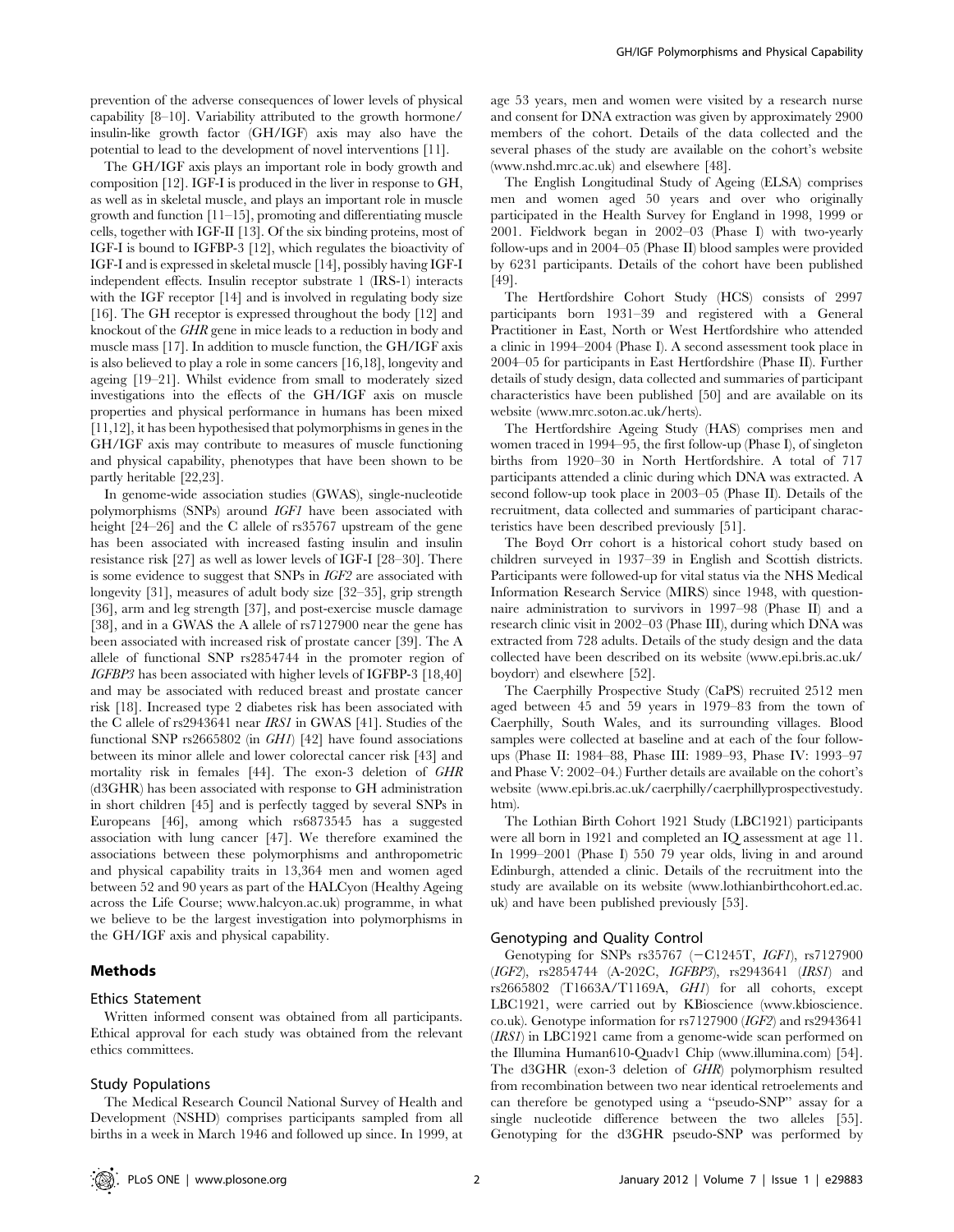prevention of the adverse consequences of lower levels of physical capability [8–10]. Variability attributed to the growth hormone/ insulin-like growth factor (GH/IGF) axis may also have the potential to lead to the development of novel interventions [11].

The GH/IGF axis plays an important role in body growth and composition [12]. IGF-I is produced in the liver in response to GH, as well as in skeletal muscle, and plays an important role in muscle growth and function [11–15], promoting and differentiating muscle cells, together with IGF-II [13]. Of the six binding proteins, most of IGF-I is bound to IGFBP-3 [12], which regulates the bioactivity of IGF-I and is expressed in skeletal muscle [14], possibly having IGF-I independent effects. Insulin receptor substrate 1 (IRS-1) interacts with the IGF receptor [14] and is involved in regulating body size [16]. The GH receptor is expressed throughout the body [12] and knockout of the GHR gene in mice leads to a reduction in body and muscle mass [17]. In addition to muscle function, the GH/IGF axis is also believed to play a role in some cancers [16,18], longevity and ageing [19–21]. Whilst evidence from small to moderately sized investigations into the effects of the GH/IGF axis on muscle properties and physical performance in humans has been mixed [11,12], it has been hypothesised that polymorphisms in genes in the GH/IGF axis may contribute to measures of muscle functioning and physical capability, phenotypes that have been shown to be partly heritable [22,23].

In genome-wide association studies (GWAS), single-nucleotide polymorphisms (SNPs) around IGF1 have been associated with height  $[24–26]$  and the C allele of rs35767 upstream of the gene has been associated with increased fasting insulin and insulin resistance risk [27] as well as lower levels of IGF-I [28–30]. There is some evidence to suggest that SNPs in IGF2 are associated with longevity [31], measures of adult body size [32–35], grip strength [36], arm and leg strength [37], and post-exercise muscle damage [38], and in a GWAS the A allele of rs7127900 near the gene has been associated with increased risk of prostate cancer [39]. The A allele of functional SNP rs2854744 in the promoter region of IGFBP3 has been associated with higher levels of IGFBP-3 [18,40] and may be associated with reduced breast and prostate cancer risk [18]. Increased type 2 diabetes risk has been associated with the C allele of rs2943641 near IRS1 in GWAS [41]. Studies of the functional SNP rs2665802 (in GH1) [42] have found associations between its minor allele and lower colorectal cancer risk [43] and mortality risk in females [44]. The exon-3 deletion of GHR (d3GHR) has been associated with response to GH administration in short children [45] and is perfectly tagged by several SNPs in Europeans [46], among which rs6873545 has a suggested association with lung cancer [47]. We therefore examined the associations between these polymorphisms and anthropometric and physical capability traits in 13,364 men and women aged between 52 and 90 years as part of the HALCyon (Healthy Ageing across the Life Course; www.halcyon.ac.uk) programme, in what we believe to be the largest investigation into polymorphisms in the GH/IGF axis and physical capability.

# Methods

#### Ethics Statement

Written informed consent was obtained from all participants. Ethical approval for each study was obtained from the relevant ethics committees.

# Study Populations

The Medical Research Council National Survey of Health and Development (NSHD) comprises participants sampled from all births in a week in March 1946 and followed up since. In 1999, at

age 53 years, men and women were visited by a research nurse and consent for DNA extraction was given by approximately 2900 members of the cohort. Details of the data collected and the several phases of the study are available on the cohort's website (www.nshd.mrc.ac.uk) and elsewhere [48].

The English Longitudinal Study of Ageing (ELSA) comprises men and women aged 50 years and over who originally participated in the Health Survey for England in 1998, 1999 or 2001. Fieldwork began in 2002–03 (Phase I) with two-yearly follow-ups and in 2004–05 (Phase II) blood samples were provided by 6231 participants. Details of the cohort have been published [49].

The Hertfordshire Cohort Study (HCS) consists of 2997 participants born 1931–39 and registered with a General Practitioner in East, North or West Hertfordshire who attended a clinic in 1994–2004 (Phase I). A second assessment took place in 2004–05 for participants in East Hertfordshire (Phase II). Further details of study design, data collected and summaries of participant characteristics have been published [50] and are available on its website (www.mrc.soton.ac.uk/herts).

The Hertfordshire Ageing Study (HAS) comprises men and women traced in 1994–95, the first follow-up (Phase I), of singleton births from 1920–30 in North Hertfordshire. A total of 717 participants attended a clinic during which DNA was extracted. A second follow-up took place in 2003–05 (Phase II). Details of the recruitment, data collected and summaries of participant characteristics have been described previously [51].

The Boyd Orr cohort is a historical cohort study based on children surveyed in 1937–39 in English and Scottish districts. Participants were followed-up for vital status via the NHS Medical Information Research Service (MIRS) since 1948, with questionnaire administration to survivors in 1997–98 (Phase II) and a research clinic visit in 2002–03 (Phase III), during which DNA was extracted from 728 adults. Details of the study design and the data collected have been described on its website (www.epi.bris.ac.uk/ boydorr) and elsewhere [52].

The Caerphilly Prospective Study (CaPS) recruited 2512 men aged between 45 and 59 years in 1979–83 from the town of Caerphilly, South Wales, and its surrounding villages. Blood samples were collected at baseline and at each of the four followups (Phase II: 1984–88, Phase III: 1989–93, Phase IV: 1993–97 and Phase V: 2002–04.) Further details are available on the cohort's website (www.epi.bris.ac.uk/caerphilly/caerphillyprospectivestudy. htm).

The Lothian Birth Cohort 1921 Study (LBC1921) participants were all born in 1921 and completed an IQ assessment at age 11. In 1999–2001 (Phase I) 550 79 year olds, living in and around Edinburgh, attended a clinic. Details of the recruitment into the study are available on its website (www.lothianbirthcohort.ed.ac. uk) and have been published previously [53].

## Genotyping and Quality Control

Genotyping for SNPs  $rs35767$  ( $-C1245T$ , *IGF1*),  $rs7127900$ (IGF2), rs2854744 (A-202C, IGFBP3), rs2943641 (IRS1) and rs2665802 (T1663A/T1169A, GH1) for all cohorts, except LBC1921, were carried out by KBioscience (www.kbioscience. co.uk). Genotype information for rs7127900 (IGF2) and rs2943641 (IRS1) in LBC1921 came from a genome-wide scan performed on the Illumina Human610-Quadv1 Chip (www.illumina.com) [54]. The d3GHR (exon-3 deletion of GHR) polymorphism resulted from recombination between two near identical retroelements and can therefore be genotyped using a ''pseudo-SNP'' assay for a single nucleotide difference between the two alleles [55]. Genotyping for the d3GHR pseudo-SNP was performed by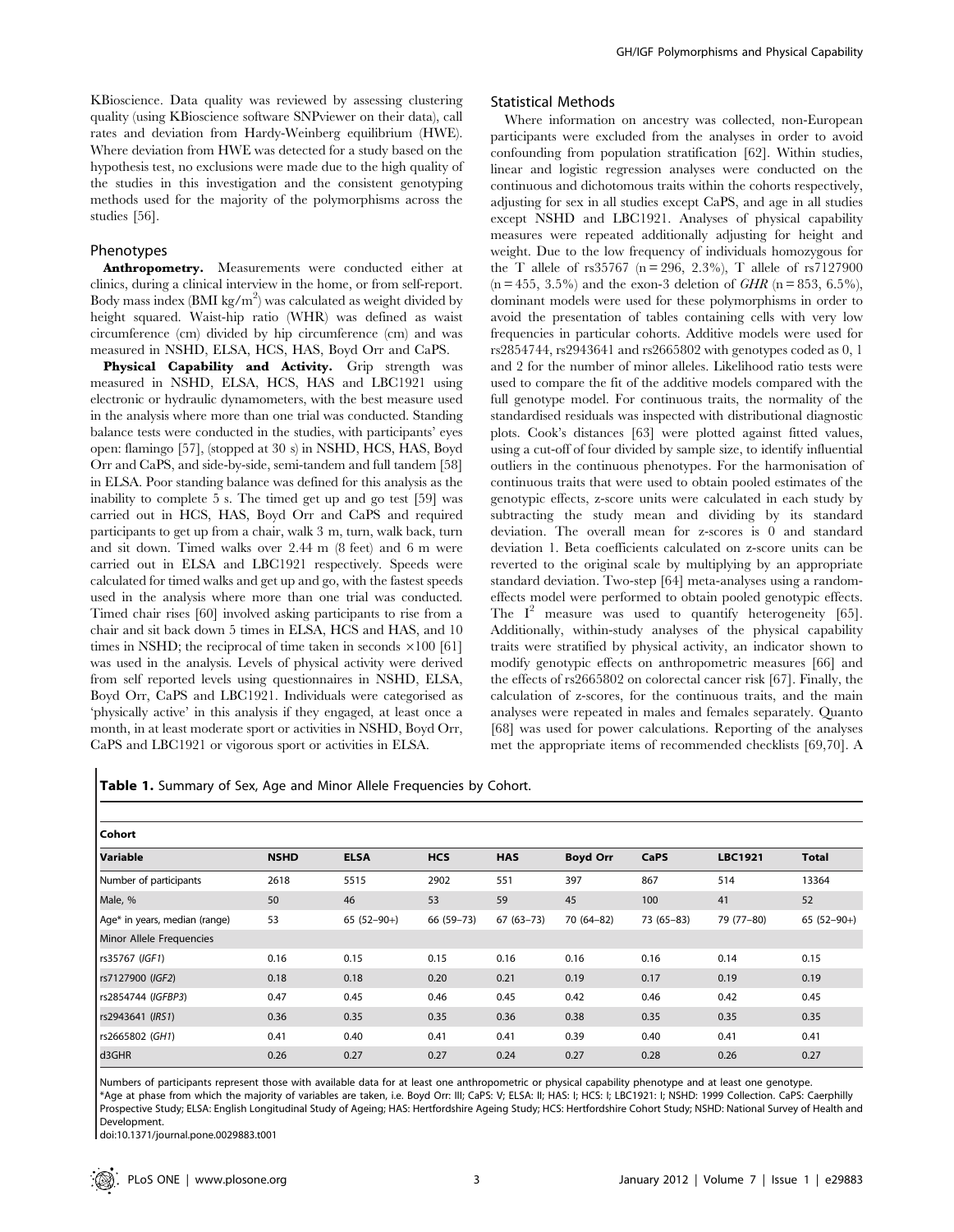KBioscience. Data quality was reviewed by assessing clustering quality (using KBioscience software SNPviewer on their data), call rates and deviation from Hardy-Weinberg equilibrium (HWE). Where deviation from HWE was detected for a study based on the hypothesis test, no exclusions were made due to the high quality of the studies in this investigation and the consistent genotyping methods used for the majority of the polymorphisms across the studies [56].

## Phenotypes

Anthropometry. Measurements were conducted either at clinics, during a clinical interview in the home, or from self-report. Body mass index (BMI kg/m<sup>2</sup>) was calculated as weight divided by height squared. Waist-hip ratio (WHR) was defined as waist circumference (cm) divided by hip circumference (cm) and was measured in NSHD, ELSA, HCS, HAS, Boyd Orr and CaPS.

Physical Capability and Activity. Grip strength was measured in NSHD, ELSA, HCS, HAS and LBC1921 using electronic or hydraulic dynamometers, with the best measure used in the analysis where more than one trial was conducted. Standing balance tests were conducted in the studies, with participants' eyes open: flamingo [57], (stopped at 30 s) in NSHD, HCS, HAS, Boyd Orr and CaPS, and side-by-side, semi-tandem and full tandem [58] in ELSA. Poor standing balance was defined for this analysis as the inability to complete 5 s. The timed get up and go test [59] was carried out in HCS, HAS, Boyd Orr and CaPS and required participants to get up from a chair, walk 3 m, turn, walk back, turn and sit down. Timed walks over 2.44 m (8 feet) and 6 m were carried out in ELSA and LBC1921 respectively. Speeds were calculated for timed walks and get up and go, with the fastest speeds used in the analysis where more than one trial was conducted. Timed chair rises [60] involved asking participants to rise from a chair and sit back down 5 times in ELSA, HCS and HAS, and 10 times in NSHD; the reciprocal of time taken in seconds  $\times 100$  [61] was used in the analysis. Levels of physical activity were derived from self reported levels using questionnaires in NSHD, ELSA, Boyd Orr, CaPS and LBC1921. Individuals were categorised as 'physically active' in this analysis if they engaged, at least once a month, in at least moderate sport or activities in NSHD, Boyd Orr, CaPS and LBC1921 or vigorous sport or activities in ELSA.

# Statistical Methods

Where information on ancestry was collected, non-European participants were excluded from the analyses in order to avoid confounding from population stratification [62]. Within studies, linear and logistic regression analyses were conducted on the continuous and dichotomous traits within the cohorts respectively, adjusting for sex in all studies except CaPS, and age in all studies except NSHD and LBC1921. Analyses of physical capability measures were repeated additionally adjusting for height and weight. Due to the low frequency of individuals homozygous for the T allele of rs35767 ( $n = 296, 2.3\%$ ), T allele of rs7127900  $(n = 455, 3.5\%)$  and the exon-3 deletion of GHR  $(n = 853, 6.5\%)$ . dominant models were used for these polymorphisms in order to avoid the presentation of tables containing cells with very low frequencies in particular cohorts. Additive models were used for rs2854744, rs2943641 and rs2665802 with genotypes coded as 0, 1 and 2 for the number of minor alleles. Likelihood ratio tests were used to compare the fit of the additive models compared with the full genotype model. For continuous traits, the normality of the standardised residuals was inspected with distributional diagnostic plots. Cook's distances [63] were plotted against fitted values, using a cut-off of four divided by sample size, to identify influential outliers in the continuous phenotypes. For the harmonisation of continuous traits that were used to obtain pooled estimates of the genotypic effects, z-score units were calculated in each study by subtracting the study mean and dividing by its standard deviation. The overall mean for z-scores is 0 and standard deviation 1. Beta coefficients calculated on z-score units can be reverted to the original scale by multiplying by an appropriate standard deviation. Two-step [64] meta-analyses using a randomeffects model were performed to obtain pooled genotypic effects. The  $I^2$  measure was used to quantify heterogeneity [65]. Additionally, within-study analyses of the physical capability traits were stratified by physical activity, an indicator shown to modify genotypic effects on anthropometric measures [66] and the effects of rs2665802 on colorectal cancer risk [67]. Finally, the calculation of z-scores, for the continuous traits, and the main analyses were repeated in males and females separately. Quanto [68] was used for power calculations. Reporting of the analyses met the appropriate items of recommended checklists [69,70]. A

Table 1. Summary of Sex, Age and Minor Allele Frequencies by Cohort.

| Cohort                        |             |              |            |               |                 |             |                |              |
|-------------------------------|-------------|--------------|------------|---------------|-----------------|-------------|----------------|--------------|
| Variable                      | <b>NSHD</b> | <b>ELSA</b>  | <b>HCS</b> | <b>HAS</b>    | <b>Boyd Orr</b> | CaPS        | <b>LBC1921</b> | <b>Total</b> |
| Number of participants        | 2618        | 5515         | 2902       | 551           | 397             | 867         | 514            | 13364        |
| Male, %                       | 50          | 46           | 53         | 59            | 45              | 100         | 41             | 52           |
| Age* in years, median (range) | 53          | $65(52-90+)$ | 66 (59-73) | $67(63 - 73)$ | 70 (64-82)      | $73(65-83)$ | 79 (77-80)     | $65(52-90+)$ |
| Minor Allele Frequencies      |             |              |            |               |                 |             |                |              |
| rs35767 (IGF1)                | 0.16        | 0.15         | 0.15       | 0.16          | 0.16            | 0.16        | 0.14           | 0.15         |
| rs7127900 (IGF2)              | 0.18        | 0.18         | 0.20       | 0.21          | 0.19            | 0.17        | 0.19           | 0.19         |
| rs2854744 (IGFBP3)            | 0.47        | 0.45         | 0.46       | 0.45          | 0.42            | 0.46        | 0.42           | 0.45         |
| rs2943641 (IRS1)              | 0.36        | 0.35         | 0.35       | 0.36          | 0.38            | 0.35        | 0.35           | 0.35         |
| rs2665802 (GH1)               | 0.41        | 0.40         | 0.41       | 0.41          | 0.39            | 0.40        | 0.41           | 0.41         |
| d3GHR                         | 0.26        | 0.27         | 0.27       | 0.24          | 0.27            | 0.28        | 0.26           | 0.27         |

Numbers of participants represent those with available data for at least one anthropometric or physical capability phenotype and at least one genotype. \*Age at phase from which the majority of variables are taken, i.e. Boyd Orr: III; CaPS: V; ELSA: II; HAS: I; HCS: I; LBC1921: I; NSHD: 1999 Collection. CaPS: Caerphilly Prospective Study; ELSA: English Longitudinal Study of Ageing; HAS: Hertfordshire Ageing Study; HCS: Hertfordshire Cohort Study; NSHD: National Survey of Health and Development.

doi:10.1371/journal.pone.0029883.t001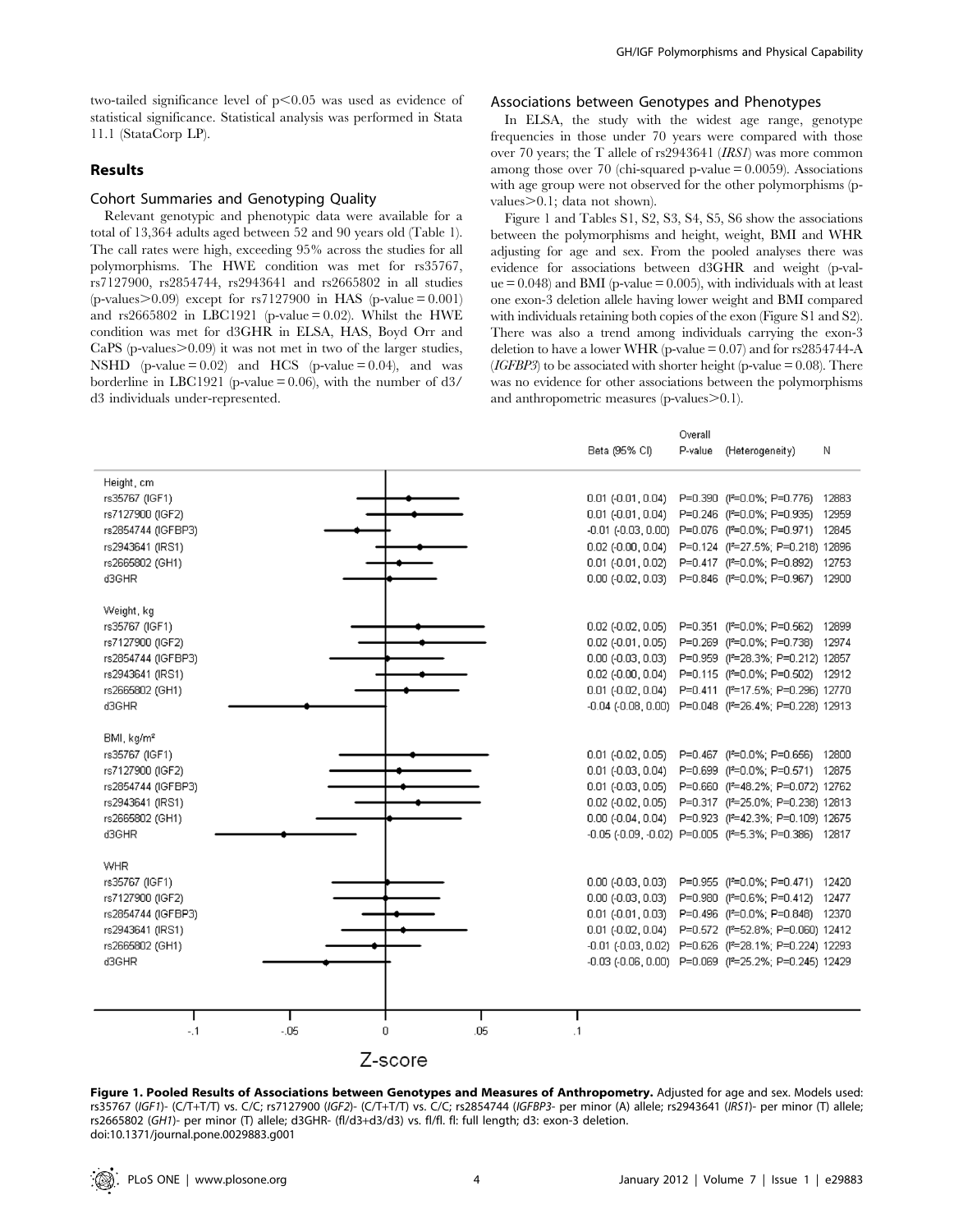two-tailed significance level of  $p<0.05$  was used as evidence of statistical significance. Statistical analysis was performed in Stata 11.1 (StataCorp LP).

# Results

#### Cohort Summaries and Genotyping Quality

Relevant genotypic and phenotypic data were available for a total of 13,364 adults aged between 52 and 90 years old (Table 1). The call rates were high, exceeding 95% across the studies for all polymorphisms. The HWE condition was met for rs35767, rs7127900, rs2854744, rs2943641 and rs2665802 in all studies  $(p\n-values>0.09)$  except for rs7127900 in HAS  $(p\n-value = 0.001)$ and rs2665802 in LBC1921 (p-value  $= 0.02$ ). Whilst the HWE condition was met for d3GHR in ELSA, HAS, Boyd Orr and  $CaPS$  (p-values $>0.09$ ) it was not met in two of the larger studies, NSHD (p-value  $= 0.02$ ) and HCS (p-value  $= 0.04$ ), and was borderline in LBC1921 (p-value  $= 0.06$ ), with the number of  $d3/$ d3 individuals under-represented.

#### Associations between Genotypes and Phenotypes

In ELSA, the study with the widest age range, genotype frequencies in those under 70 years were compared with those over 70 years; the T allele of rs2943641 (IRS1) was more common among those over 70 (chi-squared p-value  $= 0.0059$ ). Associations with age group were not observed for the other polymorphisms (pvalues $>0.1$ : data not shown).

Figure 1 and Tables S1, S2, S3, S4, S5, S6 show the associations between the polymorphisms and height, weight, BMI and WHR adjusting for age and sex. From the pooled analyses there was evidence for associations between d3GHR and weight (p-val $ue = 0.048$ ) and BMI (p-value = 0.005), with individuals with at least one exon-3 deletion allele having lower weight and BMI compared with individuals retaining both copies of the exon (Figure S1 and S2). There was also a trend among individuals carrying the exon-3 deletion to have a lower WHR (p-value  $= 0.07$ ) and for rs2854744-A (*IGFBP3*) to be associated with shorter height (p-value  $= 0.08$ ). There was no evidence for other associations between the polymorphisms and anthropometric measures (p-values $>$ 0.1).

Overall

|                                                                                                                                    |              |                | Beta (95% CI)                                                                                                                                                                                                                             | P-value | (Heterogeneitγ)                                                                                                                                                               | N |
|------------------------------------------------------------------------------------------------------------------------------------|--------------|----------------|-------------------------------------------------------------------------------------------------------------------------------------------------------------------------------------------------------------------------------------------|---------|-------------------------------------------------------------------------------------------------------------------------------------------------------------------------------|---|
| Height, cm<br>rs35767 (IGF1)<br>rs7127900 (IGF2)<br>rs2854744 (IGFBP3)<br>rs2943641 (IRS1)<br>rs2665802 (GH1)<br>d3GHR             |              |                | $0.01$ ( $-0.01$ , $0.04$ )<br>$0.01$ (-0.01, 0.04)<br>-0.01 (-0.03, 0.00) P=0.076 (f <sup>2</sup> =0.0%; P=0.971) 12845<br>$0.02$ (- $0.00, 0.04$ )<br>$0.01$ ( $-0.01$ , $0.02$ )<br>0.00 (-0.02, 0.03) P=0.846 (P=0.0%; P=0.967) 12900 |         | P=0.390 (P=0.0%; P=0.776) 12883<br>P=0.246 (P=0.0%; P=0.935) 12959<br>P=0.124 (P=27.5%; P=0.218) 12896<br>P=0.417 (P=0.0%; P=0.892) 12753                                     |   |
| Weight, kg<br>rs35767 (IGF1)<br>rs7127900 (IGF2)<br>rs2854744 (IGFBP3)<br>rs2943641 (IRS1)<br>rs2665802 (GH1)<br>d3GHR             |              |                | $0.02$ ( $-0.02$ , $0.05$ )<br>$0.02$ (-0.01, 0.05)<br>$0.00$ (- $0.03, 0.03$ )<br>$0.02$ (- $0.00$ , $0.04$ )<br>$0.01$ (-0.02, 0.04)<br>-0.04 (-0.08, 0.00) P=0.048 (P=26.4%; P=0.228) 12913                                            |         | P=0.351 (P=0.0%; P=0.562) 12899<br>P=0.269 (P=0.0%; P=0.738) 12974<br>P=0.959 (P=28.3%; P=0.212) 12857<br>P=0.115 (P=0.0%; P=0.502) 12912<br>P=0.411 (P=17.5%; P=0.296) 12770 |   |
| BMI, kg/m <sup>2</sup><br>rs35767 (IGF1)<br>rs7127900 (IGF2)<br>rs2854744 (IGFBP3)<br>rs2943641 (IRS1)<br>rs2665802 (GH1)<br>d3GHR |              |                | $0.01$ (-0.02, 0.05)<br>$0.01$ ( $-0.03$ , $0.04$ )<br>$0.01$ (-0.03, 0.05)<br>$0.02$ (- $0.02$ , $0.05$ )<br>0.00 (-0.04, 0.04) P=0.923 (P=42.3%; P=0.109) 12675<br>-0.05 (-0.09, -0.02) P=0.005 (f <sup>2</sup> =5.3%; P=0.386) 12817   |         | P=0.467 (P=0.0%; P=0.656) 12800<br>P=0.699 (P=0.0%; P=0.571) 12875<br>P=0.660 (P=48.2%; P=0.072) 12762<br>P=0.317 (P=25.0%; P=0.238) 12813                                    |   |
| <b>WHR</b><br>rs35767 (IGF1)<br>rs7127900 (IGF2)<br>rs2854744 (IGFBP3)<br>rs2943641 (IRS1)<br>rs2665802 (GH1)<br>d3GHR             |              |                | $0.00$ (- $0.03, 0.03$ )<br>$0.00$ (- $0.03, 0.03$ )<br>$0.01$ (- $0.01$ , $0.03$ )<br>$0.01$ ( $-0.02$ , $0.04$ )<br>-0.01 (-0.03, 0.02) P=0.626 (f ~= 28.1%; P=0.224) 12293<br>-0.03 (-0.06, 0.00) P=0.069 (P=25.2%; P=0.245) 12429     |         | P=0.955 (P=0.0%; P=0.471) 12420<br>P=0.980 (P=0.6%; P=0.412) 12477<br>P=0.496 (P=0.0%; P=0.848) 12370<br>P=0.572 (P=52.8%; P=0.060) 12412                                     |   |
| $-1$                                                                                                                               | $-0.05$<br>0 | .05<br>Z-score | $\cdot$ 1                                                                                                                                                                                                                                 |         |                                                                                                                                                                               |   |

Figure 1. Pooled Results of Associations between Genotypes and Measures of Anthropometry. Adjusted for age and sex. Models used: rs35767 (IGF1)- (C/T+T/T) vs. C/C; rs7127900 (IGF2)- (C/T+T/T) vs. C/C; rs2854744 (IGFBP3- per minor (A) allele; rs2943641 (IRS1)- per minor (T) allele; rs2665802 (GH1)- per minor (T) allele; d3GHR- (fl/d3+d3/d3) vs. fl/fl. fl: full length; d3: exon-3 deletion. doi:10.1371/journal.pone.0029883.g001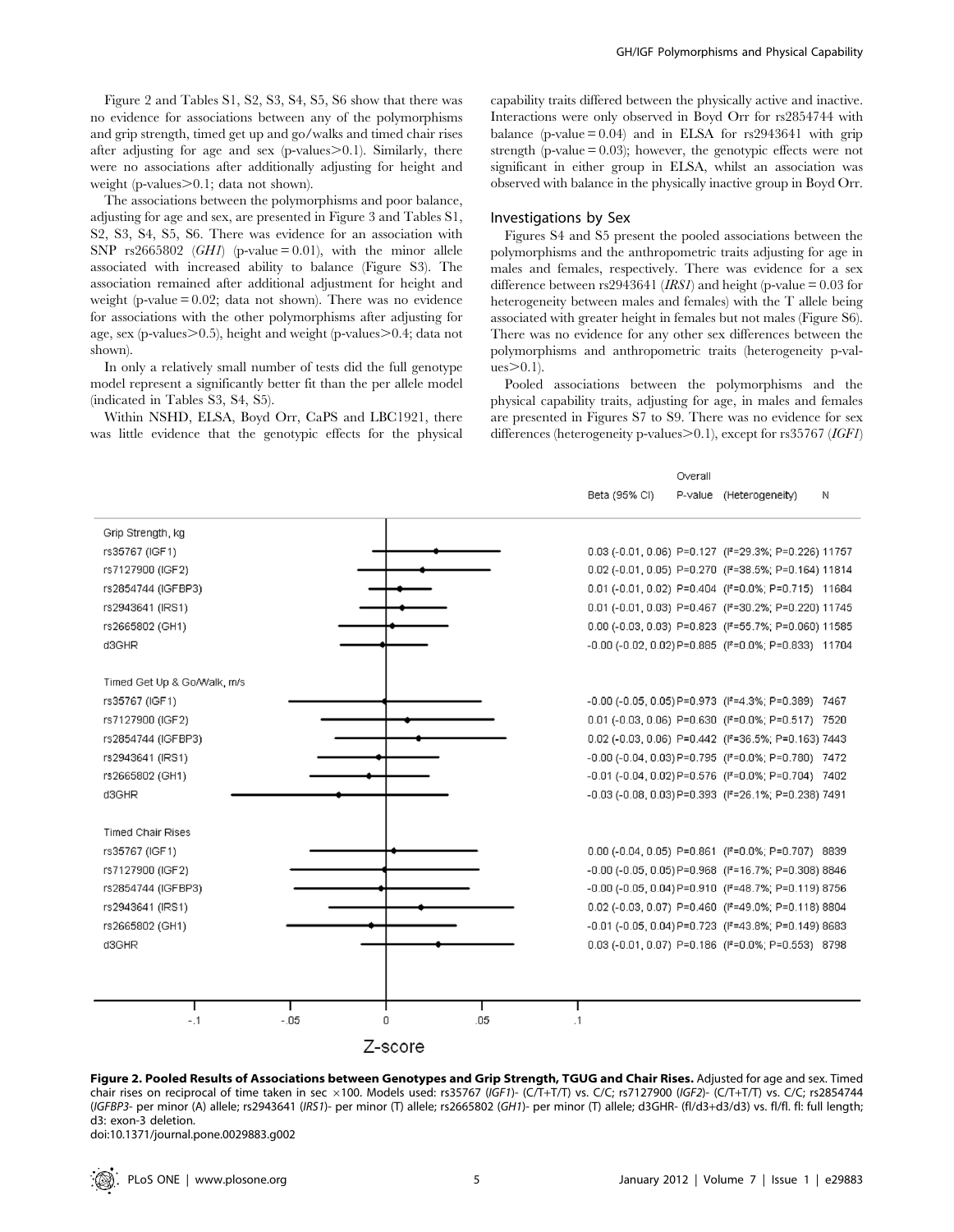Figure 2 and Tables S1, S2, S3, S4, S5, S6 show that there was no evidence for associations between any of the polymorphisms and grip strength, timed get up and go/walks and timed chair rises after adjusting for age and sex (p-values $> 0.1$ ). Similarly, there were no associations after additionally adjusting for height and weight (p-values $\geq 0.1$ ; data not shown).

The associations between the polymorphisms and poor balance, adjusting for age and sex, are presented in Figure 3 and Tables S1, S2, S3, S4, S5, S6. There was evidence for an association with SNP rs2665802 (*GH1*) (p-value = 0.01), with the minor allele associated with increased ability to balance (Figure S3). The association remained after additional adjustment for height and weight (p-value  $= 0.02$ ; data not shown). There was no evidence for associations with the other polymorphisms after adjusting for age, sex (p-values $>0.5$ ), height and weight (p-values $>0.4$ ; data not shown).

In only a relatively small number of tests did the full genotype model represent a significantly better fit than the per allele model (indicated in Tables S3, S4, S5).

Within NSHD, ELSA, Boyd Orr, CaPS and LBC1921, there was little evidence that the genotypic effects for the physical capability traits differed between the physically active and inactive. Interactions were only observed in Boyd Orr for rs2854744 with balance (p-value  $= 0.04$ ) and in ELSA for rs2943641 with grip strength (p-value  $= 0.03$ ); however, the genotypic effects were not significant in either group in ELSA, whilst an association was observed with balance in the physically inactive group in Boyd Orr.

# Investigations by Sex

Figures S4 and S5 present the pooled associations between the polymorphisms and the anthropometric traits adjusting for age in males and females, respectively. There was evidence for a sex difference between rs2943641 (*IRS1*) and height (p-value =  $0.03$  for heterogeneity between males and females) with the T allele being associated with greater height in females but not males (Figure S6). There was no evidence for any other sex differences between the polymorphisms and anthropometric traits (heterogeneity p-val $ues > 0.1$ ).

Pooled associations between the polymorphisms and the physical capability traits, adjusting for age, in males and females are presented in Figures S7 to S9. There was no evidence for sex differences (heterogeneity p-values $>$ 0.1), except for rs35767 (IGF1)

Overall

|                             |        |         |     | Beta (95% CI) | P-value (Heterogeneity)                                          | Ν |
|-----------------------------|--------|---------|-----|---------------|------------------------------------------------------------------|---|
| Grip Strength, kg           |        |         |     |               |                                                                  |   |
| rs35767 (IGF1)              |        |         |     |               | 0.03 (-0.01, 0.06) P=0.127 (f = 29.3%; P=0.226) 11757            |   |
| rs7127900 (IGF2)            |        |         |     |               | 0.02 (-0.01, 0.05) P=0.270 (f = 38.5%; P=0.164) 11814            |   |
| rs2854744 (IGFBP3)          |        |         |     |               | 0.01 (-0.01, 0.02) P=0.404 (I <sup>2</sup> =0.0%; P=0.715) 11684 |   |
| rs2943641 (IRS1)            |        |         |     |               | 0.01 (-0.01, 0.03) P=0.467 (f = 30.2%; P=0.220) 11745            |   |
| rs2665802 (GH1)             |        |         |     |               | 0.00 (-0.03, 0.03) P=0.823 (P=55.7%; P=0.060) 11585              |   |
| d3GHR                       |        |         |     |               | -0.00 (-0.02, 0.02) P=0.885 ( $P=0.0\%$ ; P=0.833) 11704         |   |
|                             |        |         |     |               |                                                                  |   |
| Timed Get Up & Go/Walk, m/s |        |         |     |               |                                                                  |   |
| rs35767 (IGF1)              |        |         |     |               | -0.00 (-0.05, 0.05) P=0.973 (I2=4.3%; P=0.389) 7467              |   |
| rs7127900 (IGF2)            |        |         |     |               | 0.01 (-0.03, 0.06) P=0.630 (P=0.0%; P=0.517) 7520                |   |
| rs2854744 (IGFBP3)          |        |         |     |               | 0.02 (-0.03, 0.06) P=0.442 (P=36.5%; P=0.163) 7443               |   |
| rs2943641 (IRS1)            |        |         |     |               | -0.00 (-0.04, 0.03) P=0.795 (P=0.0%; P=0.780) 7472               |   |
| rs2665802 (GH1)             |        |         |     |               | -0.01 (-0.04, 0.02) P=0.576 (P=0.0%; P=0.704) 7402               |   |
| d3GHR                       |        |         |     |               | -0.03 (-0.08, 0.03) P=0.393 (P=26.1%; P=0.238) 7491              |   |
| <b>Timed Chair Rises</b>    |        |         |     |               |                                                                  |   |
| rs35767 (IGF1)              |        |         |     |               | 0.00 (-0.04, 0.05) P=0.861 (P=0.0%; P=0.707) 8839                |   |
| rs7127900 (IGF2)            |        |         |     |               | -0.00 (-0.05, 0.05) P=0.968 (P=16.7%; P=0.308) 8846              |   |
| rs2854744 (IGFBP3)          |        |         |     |               | -0.00 (-0.05, 0.04) P=0.910 (P=48.7%; P=0.119) 8756              |   |
| rs2943641 (IRS1)            |        |         |     |               | 0.02 (-0.03, 0.07) P=0.460 (P=49.0%; P=0.118) 8804               |   |
| rs2665802 (GH1)             |        |         |     |               | -0.01 (-0.05, 0.04) P=0.723 (P=43.8%; P=0.149) 8683              |   |
| d3GHR                       |        |         |     |               | 0.03 (-0.01, 0.07) P=0.186 (P=0.0%; P=0.553) 8798                |   |
|                             |        |         |     |               |                                                                  |   |
|                             |        |         |     |               |                                                                  |   |
| $-.1$                       | $-.05$ | 0       | .05 | $\cdot$ 1     |                                                                  |   |
|                             |        |         |     |               |                                                                  |   |
|                             |        | Z-score |     |               |                                                                  |   |

Figure 2. Pooled Results of Associations between Genotypes and Grip Strength, TGUG and Chair Rises. Adjusted for age and sex. Timed chair rises on reciprocal of time taken in sec ×100. Models used: rs35767 (IGF1)- (C/T+T/T) vs. C/C; rs7127900 (IGF2)- (C/T+T/T) vs. C/C; rs2854744 (IGFBP3- per minor (A) allele; rs2943641 (IRS1)- per minor (T) allele; rs2665802 (GH1)- per minor (T) allele; d3GHR- (fl/d3+d3/d3) vs. fl/fl. fl: full length; d3: exon-3 deletion.

doi:10.1371/journal.pone.0029883.g002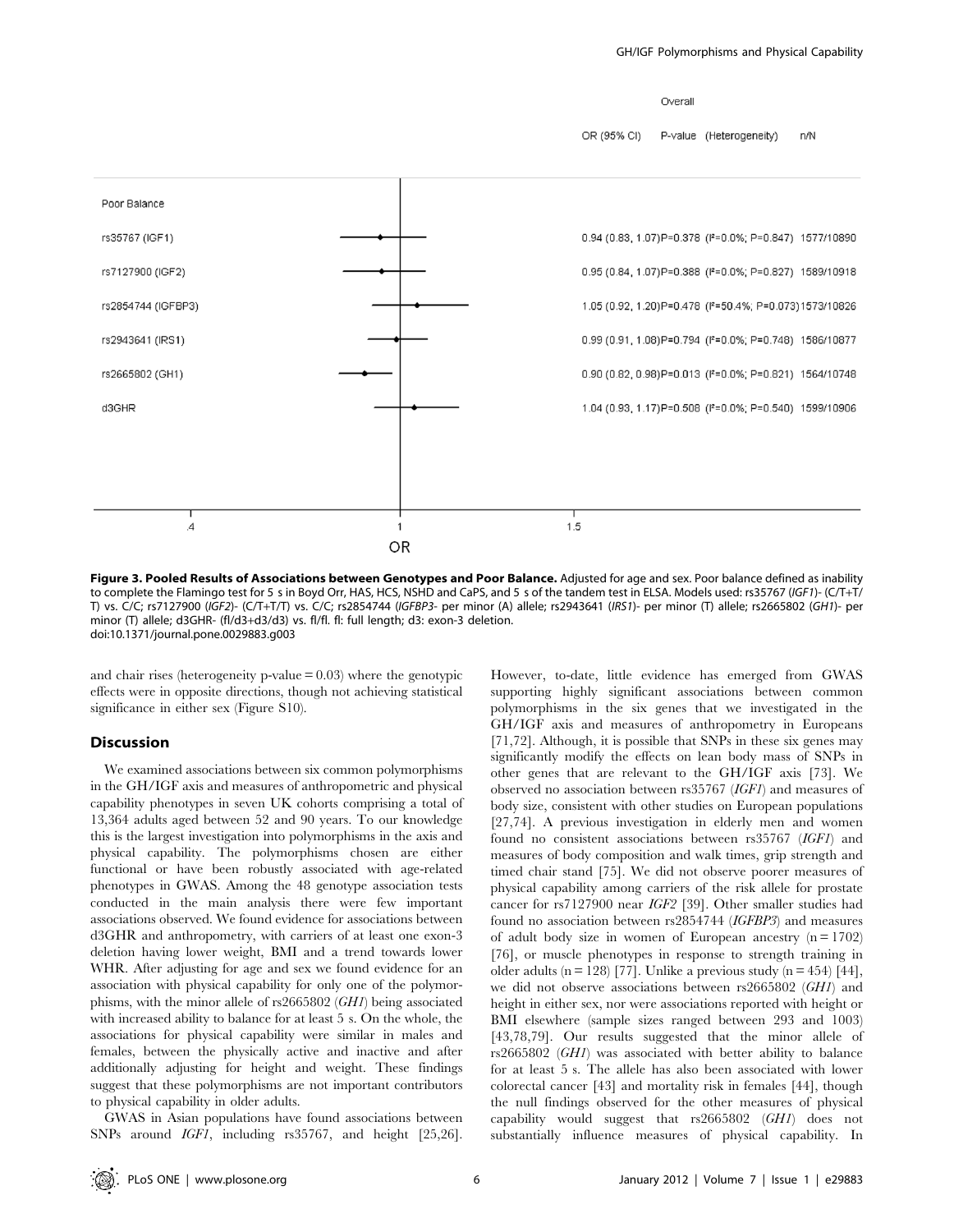Overall

OR (95% CI) P-value (Heterogeneity) n/N



Figure 3. Pooled Results of Associations between Genotypes and Poor Balance. Adjusted for age and sex. Poor balance defined as inability to complete the Flamingo test for 5 s in Boyd Orr, HAS, HCS, NSHD and CaPS, and 5 s of the tandem test in ELSA. Models used: rs35767 (IGF1)- (C/T+T/ T) vs. C/C; rs7127900 (IGF2)- (C/T+T/T) vs. C/C; rs2854744 (IGFBP3- per minor (A) allele; rs2943641 (IRS1)- per minor (T) allele; rs2665802 (GH1)- per minor (T) allele; d3GHR- (fl/d3+d3/d3) vs. fl/fl. fl: full length; d3: exon-3 deletion. doi:10.1371/journal.pone.0029883.g003

and chair rises (heterogeneity p-value  $= 0.03$ ) where the genotypic effects were in opposite directions, though not achieving statistical significance in either sex (Figure S10).

#### **Discussion**

We examined associations between six common polymorphisms in the GH/IGF axis and measures of anthropometric and physical capability phenotypes in seven UK cohorts comprising a total of 13,364 adults aged between 52 and 90 years. To our knowledge this is the largest investigation into polymorphisms in the axis and physical capability. The polymorphisms chosen are either functional or have been robustly associated with age-related phenotypes in GWAS. Among the 48 genotype association tests conducted in the main analysis there were few important associations observed. We found evidence for associations between d3GHR and anthropometry, with carriers of at least one exon-3 deletion having lower weight, BMI and a trend towards lower WHR. After adjusting for age and sex we found evidence for an association with physical capability for only one of the polymorphisms, with the minor allele of rs2665802 (GH1) being associated with increased ability to balance for at least 5 s. On the whole, the associations for physical capability were similar in males and females, between the physically active and inactive and after additionally adjusting for height and weight. These findings suggest that these polymorphisms are not important contributors to physical capability in older adults.

GWAS in Asian populations have found associations between SNPs around IGF1, including rs35767, and height [25,26].

However, to-date, little evidence has emerged from GWAS supporting highly significant associations between common polymorphisms in the six genes that we investigated in the GH/IGF axis and measures of anthropometry in Europeans [71,72]. Although, it is possible that SNPs in these six genes may significantly modify the effects on lean body mass of SNPs in other genes that are relevant to the GH/IGF axis [73]. We observed no association between rs35767 (IGF1) and measures of body size, consistent with other studies on European populations [27,74]. A previous investigation in elderly men and women found no consistent associations between rs35767 (IGF1) and measures of body composition and walk times, grip strength and timed chair stand [75]. We did not observe poorer measures of physical capability among carriers of the risk allele for prostate cancer for rs7127900 near IGF2 [39]. Other smaller studies had found no association between rs2854744 (IGFBP3) and measures of adult body size in women of European ancestry  $(n = 1702)$ [76], or muscle phenotypes in response to strength training in older adults (n = 128) [77]. Unlike a previous study (n = 454) [44], we did not observe associations between rs2665802 (GH1) and height in either sex, nor were associations reported with height or BMI elsewhere (sample sizes ranged between 293 and 1003) [43,78,79]. Our results suggested that the minor allele of rs2665802 (GH1) was associated with better ability to balance for at least 5 s. The allele has also been associated with lower colorectal cancer [43] and mortality risk in females [44], though the null findings observed for the other measures of physical capability would suggest that rs2665802 (GH1) does not substantially influence measures of physical capability. In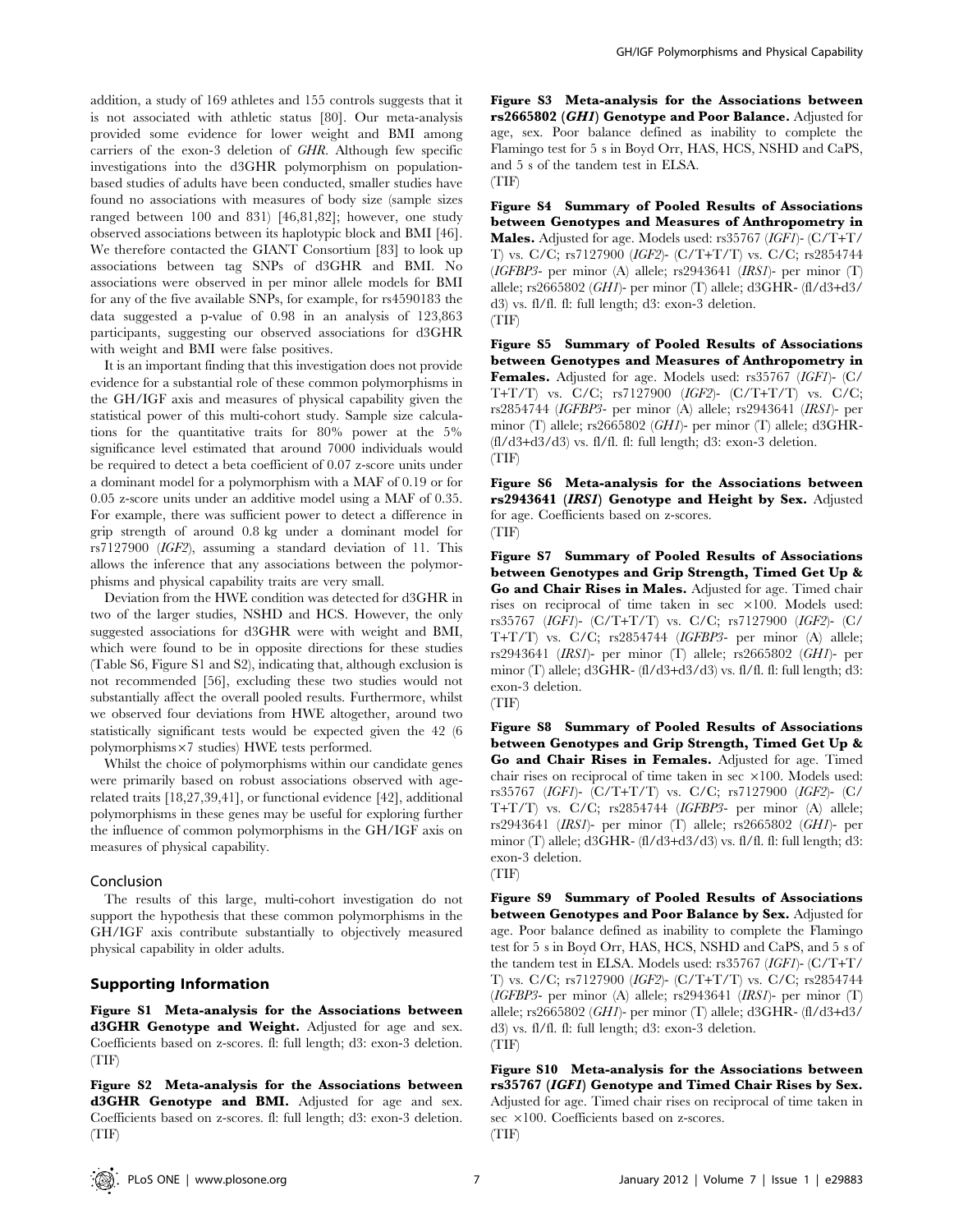addition, a study of 169 athletes and 155 controls suggests that it is not associated with athletic status [80]. Our meta-analysis provided some evidence for lower weight and BMI among carriers of the exon-3 deletion of GHR. Although few specific investigations into the d3GHR polymorphism on populationbased studies of adults have been conducted, smaller studies have found no associations with measures of body size (sample sizes ranged between 100 and 831) [46,81,82]; however, one study observed associations between its haplotypic block and BMI [46]. We therefore contacted the GIANT Consortium [83] to look up associations between tag SNPs of d3GHR and BMI. No associations were observed in per minor allele models for BMI for any of the five available SNPs, for example, for rs4590183 the data suggested a p-value of 0.98 in an analysis of 123,863 participants, suggesting our observed associations for d3GHR with weight and BMI were false positives.

It is an important finding that this investigation does not provide evidence for a substantial role of these common polymorphisms in the GH/IGF axis and measures of physical capability given the statistical power of this multi-cohort study. Sample size calculations for the quantitative traits for 80% power at the 5% significance level estimated that around 7000 individuals would be required to detect a beta coefficient of 0.07 z-score units under a dominant model for a polymorphism with a MAF of 0.19 or for 0.05 z-score units under an additive model using a MAF of 0.35. For example, there was sufficient power to detect a difference in grip strength of around 0.8 kg under a dominant model for rs7127900 (IGF2), assuming a standard deviation of 11. This allows the inference that any associations between the polymorphisms and physical capability traits are very small.

Deviation from the HWE condition was detected for d3GHR in two of the larger studies, NSHD and HCS. However, the only suggested associations for d3GHR were with weight and BMI, which were found to be in opposite directions for these studies (Table S6, Figure S1 and S2), indicating that, although exclusion is not recommended [56], excluding these two studies would not substantially affect the overall pooled results. Furthermore, whilst we observed four deviations from HWE altogether, around two statistically significant tests would be expected given the 42 (6 polymorphisms $\times7$  studies) HWE tests performed.

Whilst the choice of polymorphisms within our candidate genes were primarily based on robust associations observed with agerelated traits [18,27,39,41], or functional evidence [42], additional polymorphisms in these genes may be useful for exploring further the influence of common polymorphisms in the GH/IGF axis on measures of physical capability.

#### Conclusion

The results of this large, multi-cohort investigation do not support the hypothesis that these common polymorphisms in the GH/IGF axis contribute substantially to objectively measured physical capability in older adults.

## Supporting Information

Figure S1 Meta-analysis for the Associations between d3GHR Genotype and Weight. Adjusted for age and sex. Coefficients based on z-scores. fl: full length; d3: exon-3 deletion. (TIF)

Figure S2 Meta-analysis for the Associations between d3GHR Genotype and BMI. Adjusted for age and sex. Coefficients based on z-scores. fl: full length; d3: exon-3 deletion. (TIF)

Figure S3 Meta-analysis for the Associations between rs2665802 (GH1) Genotype and Poor Balance. Adjusted for age, sex. Poor balance defined as inability to complete the Flamingo test for 5 s in Boyd Orr, HAS, HCS, NSHD and CaPS, and 5 s of the tandem test in ELSA. (TIF)

Figure S4 Summary of Pooled Results of Associations between Genotypes and Measures of Anthropometry in Males. Adjusted for age. Models used: rs35767 (IGF1)- (C/T+T/ T) vs. C/C; rs7127900 (IGF2)- (C/T+T/T) vs. C/C; rs2854744 (IGFBP3- per minor (A) allele; rs2943641 (IRS1)- per minor (T) allele; rs2665802 (GH1)- per minor (T) allele; d3GHR- (fl/d3+d3/ d3) vs. fl/fl. fl: full length; d3: exon-3 deletion. (TIF)

Figure S5 Summary of Pooled Results of Associations between Genotypes and Measures of Anthropometry in Females. Adjusted for age. Models used: rs35767 (IGF1)- (C/ T+T/T) vs. C/C; rs7127900 (IGF2)- (C/T+T/T) vs. C/C; rs2854744 (IGFBP3- per minor (A) allele; rs2943641 (IRS1)- per minor (T) allele; rs2665802 (GH1)- per minor (T) allele; d3GHR- (fl/d3+d3/d3) vs. fl/fl. fl: full length; d3: exon-3 deletion. (TIF)

Figure S6 Meta-analysis for the Associations between rs2943641 (IRS1) Genotype and Height by Sex. Adjusted for age. Coefficients based on z-scores. (TIF)

Figure S7 Summary of Pooled Results of Associations between Genotypes and Grip Strength, Timed Get Up & Go and Chair Rises in Males. Adjusted for age. Timed chair rises on reciprocal of time taken in sec ×100. Models used: rs35767 (IGF1)- (C/T+T/T) vs. C/C; rs7127900 (IGF2)- (C/ T+T/T) vs. C/C; rs2854744 (IGFBP3- per minor (A) allele; rs2943641 (IRS1)- per minor (T) allele; rs2665802 (GH1)- per minor (T) allele; d3GHR- (fl/d3+d3/d3) vs. fl/fl. fl: full length; d3: exon-3 deletion.

(TIF)

Figure S8 Summary of Pooled Results of Associations between Genotypes and Grip Strength, Timed Get Up & Go and Chair Rises in Females. Adjusted for age. Timed chair rises on reciprocal of time taken in sec  $\times 100$ . Models used: rs35767 (IGF1)- (C/T+T/T) vs. C/C; rs7127900 (IGF2)- (C/ T+T/T) vs. C/C; rs2854744 (IGFBP3- per minor (A) allele; rs2943641 (IRS1)- per minor (T) allele; rs2665802 (GH1)- per minor (T) allele; d3GHR- (fl/d3+d3/d3) vs. fl/fl. fl: full length; d3: exon-3 deletion.



Figure S9 Summary of Pooled Results of Associations between Genotypes and Poor Balance by Sex. Adjusted for age. Poor balance defined as inability to complete the Flamingo test for 5 s in Boyd Orr, HAS, HCS, NSHD and CaPS, and 5 s of the tandem test in ELSA. Models used: rs35767 (IGF1)- (C/T+T/ T) vs. C/C; rs7127900 (IGF2)- (C/T+T/T) vs. C/C; rs2854744 (*IGFBP3*- per minor (A) allele; rs2943641 (*IRSI*)- per minor (T) allele; rs2665802 (GH1)- per minor (T) allele; d3GHR- (fl/d3+d3/ d3) vs. fl/fl. fl: full length; d3: exon-3 deletion. (TIF)

Figure S10 Meta-analysis for the Associations between rs35767 (IGF1) Genotype and Timed Chair Rises by Sex. Adjusted for age. Timed chair rises on reciprocal of time taken in sec  $\times$ 100. Coefficients based on z-scores. (TIF)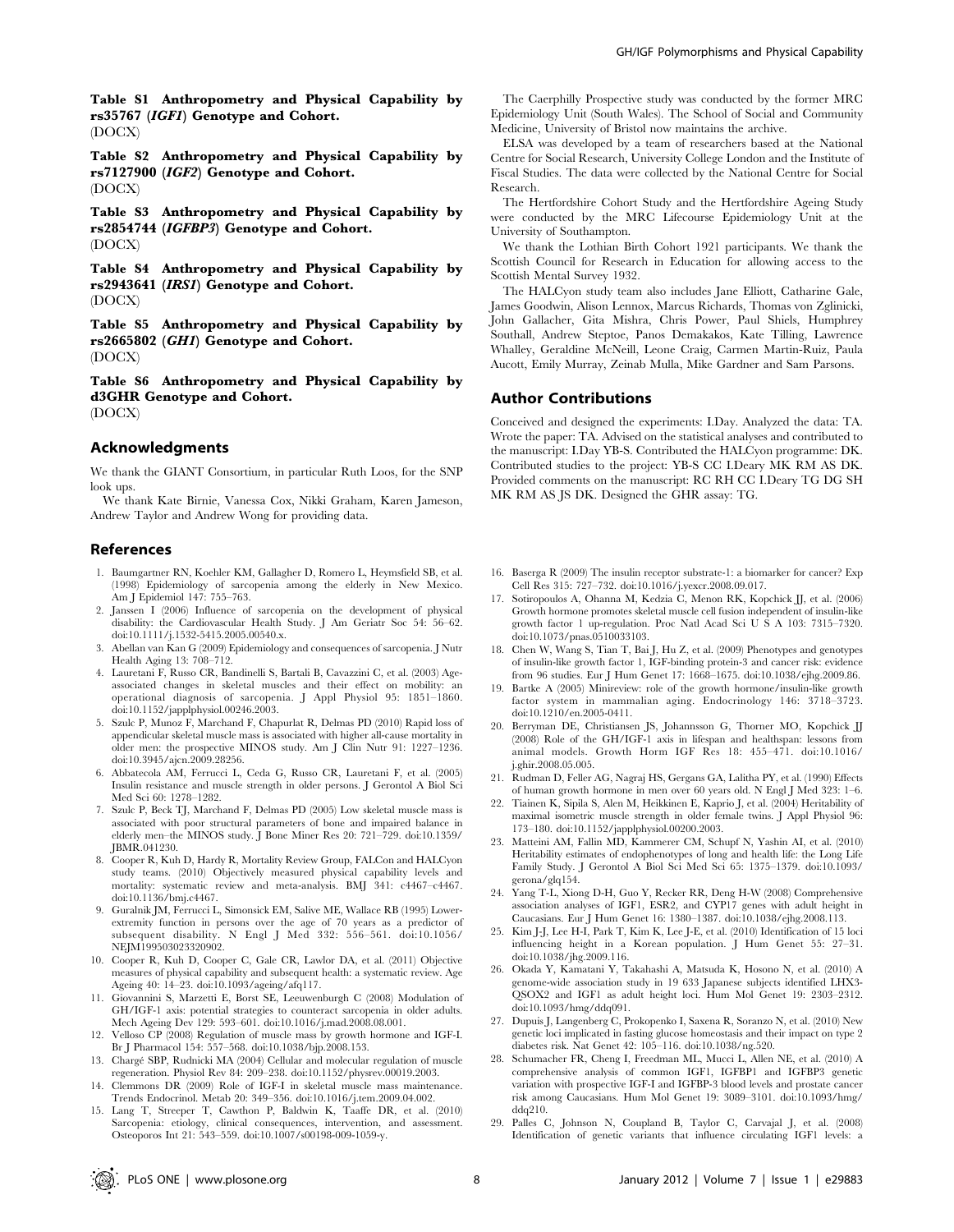Table S2 Anthropometry and Physical Capability by rs7127900 (IGF2) Genotype and Cohort. (DOCX)

Table S3 Anthropometry and Physical Capability by rs2854744 (IGFBP3) Genotype and Cohort. (DOCX)

Table S4 Anthropometry and Physical Capability by rs2943641 (IRS1) Genotype and Cohort. (DOCX)

Table S5 Anthropometry and Physical Capability by rs2665802 (GH1) Genotype and Cohort. (DOCX)

Table S6 Anthropometry and Physical Capability by d3GHR Genotype and Cohort. (DOCX)

## Acknowledgments

We thank the GIANT Consortium, in particular Ruth Loos, for the SNP look ups.

We thank Kate Birnie, Vanessa Cox, Nikki Graham, Karen Jameson, Andrew Taylor and Andrew Wong for providing data.

## References

- 1. Baumgartner RN, Koehler KM, Gallagher D, Romero L, Heymsfield SB, et al. (1998) Epidemiology of sarcopenia among the elderly in New Mexico. Am J Epidemiol 147: 755–763.
- 2. Janssen I (2006) Influence of sarcopenia on the development of physical disability: the Cardiovascular Health Study. J Am Geriatr Soc 54: 56–62. doi:10.1111/j.1532-5415.2005.00540.x.
- 3. Abellan van Kan G (2009) Epidemiology and consequences of sarcopenia. J Nutr Health Aging 13: 708–712.
- 4. Lauretani F, Russo CR, Bandinelli S, Bartali B, Cavazzini C, et al. (2003) Ageassociated changes in skeletal muscles and their effect on mobility: an operational diagnosis of sarcopenia. J Appl Physiol 95: 1851–1860. doi:10.1152/japplphysiol.00246.2003.
- 5. Szulc P, Munoz F, Marchand F, Chapurlat R, Delmas PD (2010) Rapid loss of appendicular skeletal muscle mass is associated with higher all-cause mortality in older men: the prospective MINOS study. Am J Clin Nutr 91: 1227–1236. doi:10.3945/ajcn.2009.28256.
- 6. Abbatecola AM, Ferrucci L, Ceda G, Russo CR, Lauretani F, et al. (2005) Insulin resistance and muscle strength in older persons. J Gerontol A Biol Sci Med Sci 60: 1278–1282.
- 7. Szulc P, Beck TJ, Marchand F, Delmas PD (2005) Low skeletal muscle mass is associated with poor structural parameters of bone and impaired balance in elderly men–the MINOS study. J Bone Miner Res 20: 721–729. doi:10.1359/ JBMR.041230.
- 8. Cooper R, Kuh D, Hardy R, Mortality Review Group, FALCon and HALCyon study teams. (2010) Objectively measured physical capability levels and mortality: systematic review and meta-analysis. BMJ 341: c4467–c4467. doi:10.1136/bmj.c4467.
- 9. Guralnik JM, Ferrucci L, Simonsick EM, Salive ME, Wallace RB (1995) Lowerextremity function in persons over the age of 70 years as a predictor of subsequent disability. N Engl J Med 332: 556–561. doi:10.1056/ NEIM199503023320902.
- 10. Cooper R, Kuh D, Cooper C, Gale CR, Lawlor DA, et al. (2011) Objective measures of physical capability and subsequent health: a systematic review. Age Ageing 40: 14–23. doi:10.1093/ageing/afq117.
- 11. Giovannini S, Marzetti E, Borst SE, Leeuwenburgh C (2008) Modulation of GH/IGF-1 axis: potential strategies to counteract sarcopenia in older adults. Mech Ageing Dev 129: 593–601. doi:10.1016/j.mad.2008.08.001.
- 12. Velloso CP (2008) Regulation of muscle mass by growth hormone and IGF-I. Br J Pharmacol 154: 557–568. doi:10.1038/bjp.2008.153.
- 13. Charge´ SBP, Rudnicki MA (2004) Cellular and molecular regulation of muscle regeneration. Physiol Rev 84: 209–238. doi:10.1152/physrev.00019.2003.
- 14. Clemmons DR (2009) Role of IGF-I in skeletal muscle mass maintenance. Trends Endocrinol. Metab 20: 349–356. doi:10.1016/j.tem.2009.04.002.
- 15. Lang T, Streeper T, Cawthon P, Baldwin K, Taaffe DR, et al. (2010) Sarcopenia: etiology, clinical consequences, intervention, and assessment. Osteoporos Int 21: 543–559. doi:10.1007/s00198-009-1059-y.

The Caerphilly Prospective study was conducted by the former MRC Epidemiology Unit (South Wales). The School of Social and Community Medicine, University of Bristol now maintains the archive.

ELSA was developed by a team of researchers based at the National Centre for Social Research, University College London and the Institute of Fiscal Studies. The data were collected by the National Centre for Social Research.

The Hertfordshire Cohort Study and the Hertfordshire Ageing Study were conducted by the MRC Lifecourse Epidemiology Unit at the University of Southampton.

We thank the Lothian Birth Cohort 1921 participants. We thank the Scottish Council for Research in Education for allowing access to the Scottish Mental Survey 1932.

The HALCyon study team also includes Jane Elliott, Catharine Gale, James Goodwin, Alison Lennox, Marcus Richards, Thomas von Zglinicki, John Gallacher, Gita Mishra, Chris Power, Paul Shiels, Humphrey Southall, Andrew Steptoe, Panos Demakakos, Kate Tilling, Lawrence Whalley, Geraldine McNeill, Leone Craig, Carmen Martin-Ruiz, Paula Aucott, Emily Murray, Zeinab Mulla, Mike Gardner and Sam Parsons.

## Author Contributions

Conceived and designed the experiments: I.Day. Analyzed the data: TA. Wrote the paper: TA. Advised on the statistical analyses and contributed to the manuscript: I.Day YB-S. Contributed the HALCyon programme: DK. Contributed studies to the project: YB-S CC I.Deary MK RM AS DK. Provided comments on the manuscript: RC RH CC I.Deary TG DG SH MK RM AS JS DK. Designed the GHR assay: TG.

- 16. Baserga R (2009) The insulin receptor substrate-1: a biomarker for cancer? Exp Cell Res 315: 727–732. doi:10.1016/j.yexcr.2008.09.017.
- 17. Sotiropoulos A, Ohanna M, Kedzia C, Menon RK, Kopchick JJ, et al. (2006) Growth hormone promotes skeletal muscle cell fusion independent of insulin-like growth factor 1 up-regulation. Proc Natl Acad Sci U S A 103: 7315–7320. doi:10.1073/pnas.0510033103.
- 18. Chen W, Wang S, Tian T, Bai J, Hu Z, et al. (2009) Phenotypes and genotypes of insulin-like growth factor 1, IGF-binding protein-3 and cancer risk: evidence from 96 studies. Eur J Hum Genet 17: 1668–1675. doi:10.1038/ejhg.2009.86.
- 19. Bartke A (2005) Minireview: role of the growth hormone/insulin-like growth factor system in mammalian aging. Endocrinology 146: 3718–3723. doi:10.1210/en.2005-0411.
- 20. Berryman DE, Christiansen JS, Johannsson G, Thorner MO, Kopchick JJ (2008) Role of the GH/IGF-1 axis in lifespan and healthspan: lessons from animal models. Growth Horm IGF Res 18: 455–471. doi:10.1016/ j.ghir.2008.05.005.
- 21. Rudman D, Feller AG, Nagraj HS, Gergans GA, Lalitha PY, et al. (1990) Effects of human growth hormone in men over 60 years old. N Engl J Med 323: 1–6.
- 22. Tiainen K, Sipila S, Alen M, Heikkinen E, Kaprio J, et al. (2004) Heritability of maximal isometric muscle strength in older female twins. J Appl Physiol 96: 173–180. doi:10.1152/japplphysiol.00200.2003.
- 23. Matteini AM, Fallin MD, Kammerer CM, Schupf N, Yashin AI, et al. (2010) Heritability estimates of endophenotypes of long and health life: the Long Life Family Study. J Gerontol A Biol Sci Med Sci 65: 1375–1379. doi:10.1093/ gerona/glq154.
- 24. Yang T-L, Xiong D-H, Guo Y, Recker RR, Deng H-W (2008) Comprehensive association analyses of IGF1, ESR2, and CYP17 genes with adult height in Caucasians. Eur J Hum Genet 16: 1380–1387. doi:10.1038/ejhg.2008.113.
- 25. Kim J-J, Lee H-I, Park T, Kim K, Lee J-E, et al. (2010) Identification of 15 loci influencing height in a Korean population. J Hum Genet 55: 27–31. doi:10.1038/jhg.2009.116.
- 26. Okada Y, Kamatani Y, Takahashi A, Matsuda K, Hosono N, et al. (2010) A genome-wide association study in 19 633 Japanese subjects identified LHX3- QSOX2 and IGF1 as adult height loci. Hum Mol Genet 19: 2303–2312. doi:10.1093/hmg/ddq091.
- 27. Dupuis J, Langenberg C, Prokopenko I, Saxena R, Soranzo N, et al. (2010) New genetic loci implicated in fasting glucose homeostasis and their impact on type 2 diabetes risk. Nat Genet 42: 105–116. doi:10.1038/ng.520.
- 28. Schumacher FR, Cheng I, Freedman ML, Mucci L, Allen NE, et al. (2010) A comprehensive analysis of common IGF1, IGFBP1 and IGFBP3 genetic variation with prospective IGF-I and IGFBP-3 blood levels and prostate cancer risk among Caucasians. Hum Mol Genet 19: 3089–3101. doi:10.1093/hmg/ ddq210.
- 29. Palles C, Johnson N, Coupland B, Taylor C, Carvajal J, et al. (2008) Identification of genetic variants that influence circulating IGF1 levels: a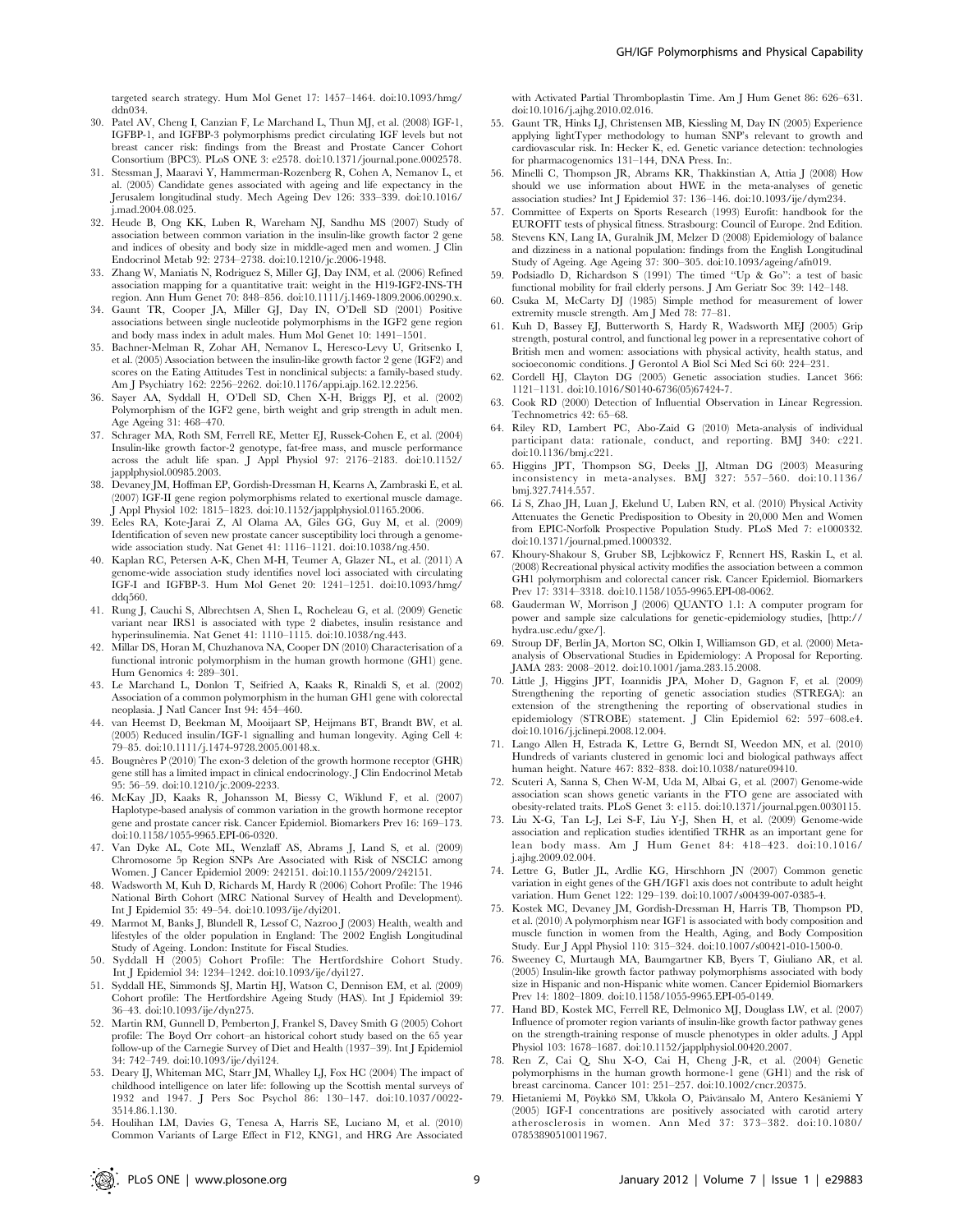targeted search strategy. Hum Mol Genet 17: 1457–1464. doi:10.1093/hmg/  $ddn034$ 

- 30. Patel AV, Cheng I, Canzian F, Le Marchand L, Thun MJ, et al. (2008) IGF-1, IGFBP-1, and IGFBP-3 polymorphisms predict circulating IGF levels but not breast cancer risk: findings from the Breast and Prostate Cancer Cohort Consortium (BPC3). PLoS ONE 3: e2578. doi:10.1371/journal.pone.0002578.
- 31. Stessman J, Maaravi Y, Hammerman-Rozenberg R, Cohen A, Nemanov L, et al. (2005) Candidate genes associated with ageing and life expectancy in the Jerusalem longitudinal study. Mech Ageing Dev 126: 333–339. doi:10.1016/ j.mad.2004.08.025.
- 32. Heude B, Ong KK, Luben R, Wareham NJ, Sandhu MS (2007) Study of association between common variation in the insulin-like growth factor 2 gene and indices of obesity and body size in middle-aged men and women. J Clin Endocrinol Metab 92: 2734–2738. doi:10.1210/jc.2006-1948.
- 33. Zhang W, Maniatis N, Rodriguez S, Miller GJ, Day INM, et al. (2006) Refined association mapping for a quantitative trait: weight in the H19-IGF2-INS-TH region. Ann Hum Genet 70: 848–856. doi:10.1111/j.1469-1809.2006.00290.x.
- 34. Gaunt TR, Cooper JA, Miller GJ, Day IN, O'Dell SD (2001) Positive associations between single nucleotide polymorphisms in the IGF2 gene region and body mass index in adult males. Hum Mol Genet 10: 1491–1501.
- 35. Bachner-Melman R, Zohar AH, Nemanov L, Heresco-Levy U, Gritsenko I, et al. (2005) Association between the insulin-like growth factor 2 gene (IGF2) and scores on the Eating Attitudes Test in nonclinical subjects: a family-based study. Am J Psychiatry 162: 2256–2262. doi:10.1176/appi.ajp.162.12.2256.
- 36. Sayer AA, Syddall H, O'Dell SD, Chen X-H, Briggs PJ, et al. (2002) Polymorphism of the IGF2 gene, birth weight and grip strength in adult men. Age Ageing 31: 468–470.
- 37. Schrager MA, Roth SM, Ferrell RE, Metter EJ, Russek-Cohen E, et al. (2004) Insulin-like growth factor-2 genotype, fat-free mass, and muscle performance across the adult life span. J Appl Physiol 97: 2176–2183. doi:10.1152/ applphysiol.00985.2003.
- 38. Devaney JM, Hoffman EP, Gordish-Dressman H, Kearns A, Zambraski E, et al. (2007) IGF-II gene region polymorphisms related to exertional muscle damage. J Appl Physiol 102: 1815–1823. doi:10.1152/japplphysiol.01165.2006.
- 39. Eeles RA, Kote-Jarai Z, Al Olama AA, Giles GG, Guy M, et al. (2009) Identification of seven new prostate cancer susceptibility loci through a genomewide association study. Nat Genet 41: 1116–1121. doi:10.1038/ng.450.
- 40. Kaplan RC, Petersen A-K, Chen M-H, Teumer A, Glazer NL, et al. (2011) A genome-wide association study identifies novel loci associated with circulating IGF-I and IGFBP-3. Hum Mol Genet 20: 1241–1251. doi:10.1093/hmg/ ddq560.
- 41. Rung J, Cauchi S, Albrechtsen A, Shen L, Rocheleau G, et al. (2009) Genetic variant near IRS1 is associated with type 2 diabetes, insulin resistance and hyperinsulinemia. Nat Genet 41: 1110–1115. doi:10.1038/ng.443.
- 42. Millar DS, Horan M, Chuzhanova NA, Cooper DN (2010) Characterisation of a functional intronic polymorphism in the human growth hormone (GH1) gene. Hum Genomics 4: 289–301.
- 43. Le Marchand L, Donlon T, Seifried A, Kaaks R, Rinaldi S, et al. (2002) Association of a common polymorphism in the human GH1 gene with colorectal neoplasia. J Natl Cancer Inst 94: 454–460.
- 44. van Heemst D, Beekman M, Mooijaart SP, Heijmans BT, Brandt BW, et al. (2005) Reduced insulin/IGF-1 signalling and human longevity. Aging Cell 4: 79–85. doi:10.1111/j.1474-9728.2005.00148.x.
- 45. Bougnères P (2010) The exon-3 deletion of the growth hormone receptor (GHR) gene still has a limited impact in clinical endocrinology. J Clin Endocrinol Metab 95: 56–59. doi:10.1210/jc.2009-2233.
- 46. McKay JD, Kaaks R, Johansson M, Biessy C, Wiklund F, et al. (2007) Haplotype-based analysis of common variation in the growth hormone receptor gene and prostate cancer risk. Cancer Epidemiol. Biomarkers Prev 16: 169–173. doi:10.1158/1055-9965.EPI-06-0320.
- 47. Van Dyke AL, Cote ML, Wenzlaff AS, Abrams J, Land S, et al. (2009) Chromosome 5p Region SNPs Are Associated with Risk of NSCLC among Women. J Cancer Epidemiol 2009: 242151. doi:10.1155/2009/242151.
- 48. Wadsworth M, Kuh D, Richards M, Hardy R (2006) Cohort Profile: The 1946 National Birth Cohort (MRC National Survey of Health and Development). Int J Epidemiol 35: 49–54. doi:10.1093/ije/dyi201.
- 49. Marmot M, Banks J, Blundell R, Lessof C, Nazroo J (2003) Health, wealth and lifestyles of the older population in England: The 2002 English Longitudinal Study of Ageing. London: Institute for Fiscal Studies.
- 50. Syddall H (2005) Cohort Profile: The Hertfordshire Cohort Study. Int J Epidemiol 34: 1234–1242. doi:10.1093/ije/dyi127.
- 51. Syddall HE, Simmonds SJ, Martin HJ, Watson C, Dennison EM, et al. (2009) Cohort profile: The Hertfordshire Ageing Study (HAS). Int J Epidemiol 39: 36–43. doi:10.1093/ije/dyn275.
- 52. Martin RM, Gunnell D, Pemberton J, Frankel S, Davey Smith G (2005) Cohort profile: The Boyd Orr cohort–an historical cohort study based on the 65 year follow-up of the Carnegie Survey of Diet and Health (1937–39). Int J Epidemiol 34: 742–749. doi:10.1093/ije/dyi124.
- 53. Deary IJ, Whiteman MC, Starr JM, Whalley LJ, Fox HC (2004) The impact of childhood intelligence on later life: following up the Scottish mental surveys of 1932 and 1947. J Pers Soc Psychol 86: 130–147. doi:10.1037/0022- 3514.86.1.130.
- 54. Houlihan LM, Davies G, Tenesa A, Harris SE, Luciano M, et al. (2010) Common Variants of Large Effect in F12, KNG1, and HRG Are Associated

with Activated Partial Thromboplastin Time. Am J Hum Genet 86: 626–631. doi:10.1016/j.ajhg.2010.02.016.

- 55. Gaunt TR, Hinks LJ, Christensen MB, Kiessling M, Day IN (2005) Experience applying lightTyper methodology to human SNP's relevant to growth and cardiovascular risk. In: Hecker K, ed. Genetic variance detection: technologies for pharmacogenomics 131–144, DNA Press. In:.
- 56. Minelli C, Thompson JR, Abrams KR, Thakkinstian A, Attia J (2008) How should we use information about HWE in the meta-analyses of genetic association studies? Int J Epidemiol 37: 136–146. doi:10.1093/ije/dym234.
- 57. Committee of Experts on Sports Research (1993) Eurofit: handbook for the EUROFIT tests of physical fitness. Strasbourg: Council of Europe. 2nd Edition.
- 58. Stevens KN, Lang IA, Guralnik JM, Melzer D (2008) Epidemiology of balance and dizziness in a national population: findings from the English Longitudinal Study of Ageing. Age Ageing 37: 300–305. doi:10.1093/ageing/afn019.
- 59. Podsiadlo D, Richardson S (1991) The timed ''Up & Go'': a test of basic functional mobility for frail elderly persons. J Am Geriatr Soc 39: 142–148.
- 60. Csuka M, McCarty DJ (1985) Simple method for measurement of lower extremity muscle strength. Am J Med 78: 77–81.
- 61. Kuh D, Bassey EJ, Butterworth S, Hardy R, Wadsworth MEJ (2005) Grip strength, postural control, and functional leg power in a representative cohort of British men and women: associations with physical activity, health status, and socioeconomic conditions. J Gerontol A Biol Sci Med Sci 60: 224–231.
- 62. Cordell HJ, Clayton DG (2005) Genetic association studies. Lancet 366: 1121–1131. doi:10.1016/S0140-6736(05)67424-7.
- 63. Cook RD (2000) Detection of Influential Observation in Linear Regression. Technometrics 42: 65–68.
- 64. Riley RD, Lambert PC, Abo-Zaid G (2010) Meta-analysis of individual participant data: rationale, conduct, and reporting. BMJ 340: c221. doi:10.1136/bmj.c221.
- 65. Higgins JPT, Thompson SG, Deeks JJ, Altman DG (2003) Measuring inconsistency in meta-analyses. BMJ 327: 557–560. doi:10.1136/ bmj.327.7414.557.
- 66. Li S, Zhao JH, Luan J, Ekelund U, Luben RN, et al. (2010) Physical Activity Attenuates the Genetic Predisposition to Obesity in 20,000 Men and Women from EPIC-Norfolk Prospective Population Study. PLoS Med 7: e1000332. doi:10.1371/journal.pmed.1000332.
- 67. Khoury-Shakour S, Gruber SB, Lejbkowicz F, Rennert HS, Raskin L, et al. (2008) Recreational physical activity modifies the association between a common GH1 polymorphism and colorectal cancer risk. Cancer Epidemiol. Biomarkers Prev 17: 3314-3318. doi:10.1158/1055-9965.EPI-08-0062.
- 68. Gauderman W, Morrison J (2006) QUANTO 1.1: A computer program for power and sample size calculations for genetic-epidemiology studies, [http:// hydra.usc.edu/gxe/].
- 69. Stroup DF, Berlin JA, Morton SC, Olkin I, Williamson GD, et al. (2000) Metaanalysis of Observational Studies in Epidemiology: A Proposal for Reporting. JAMA 283: 2008–2012. doi:10.1001/jama.283.15.2008.
- 70. Little J, Higgins JPT, Ioannidis JPA, Moher D, Gagnon F, et al. (2009) Strengthening the reporting of genetic association studies (STREGA): an extension of the strengthening the reporting of observational studies in epidemiology (STROBE) statement. J Clin Epidemiol 62: 597–608.e4. doi:10.1016/j.jclinepi.2008.12.004.
- 71. Lango Allen H, Estrada K, Lettre G, Berndt SI, Weedon MN, et al. (2010) Hundreds of variants clustered in genomic loci and biological pathways affect human height. Nature 467: 832–838. doi:10.1038/nature09410.
- 72. Scuteri A, Sanna S, Chen W-M, Uda M, Albai G, et al. (2007) Genome-wide association scan shows genetic variants in the FTO gene are associated with obesity-related traits. PLoS Genet 3: e115. doi:10.1371/journal.pgen.0030115.
- 73. Liu X-G, Tan L-J, Lei S-F, Liu Y-J, Shen H, et al. (2009) Genome-wide association and replication studies identified TRHR as an important gene for lean body mass. Am J Hum Genet 84: 418–423. doi:10.1016/ j.ajhg.2009.02.004.
- 74. Lettre G, Butler JL, Ardlie KG, Hirschhorn JN (2007) Common genetic variation in eight genes of the GH/IGF1 axis does not contribute to adult height variation. Hum Genet 122: 129–139. doi:10.1007/s00439-007-0385-4.
- 75. Kostek MC, Devaney JM, Gordish-Dressman H, Harris TB, Thompson PD, et al. (2010) A polymorphism near IGF1 is associated with body composition and muscle function in women from the Health, Aging, and Body Composition Study. Eur J Appl Physiol 110: 315–324. doi:10.1007/s00421-010-1500-0.
- 76. Sweeney C, Murtaugh MA, Baumgartner KB, Byers T, Giuliano AR, et al. (2005) Insulin-like growth factor pathway polymorphisms associated with body size in Hispanic and non-Hispanic white women. Cancer Epidemiol Biomarkers Prev 14: 1802–1809. doi:10.1158/1055-9965.EPI-05-0149.
- 77. Hand BD, Kostek MC, Ferrell RE, Delmonico MJ, Douglass LW, et al. (2007) Influence of promoter region variants of insulin-like growth factor pathway genes on the strength-training response of muscle phenotypes in older adults. J Appl Physiol 103: 1678–1687. doi:10.1152/japplphysiol.00420.2007.
- 78. Ren Z, Cai Q, Shu X-O, Cai H, Cheng J-R, et al. (2004) Genetic polymorphisms in the human growth hormone-1 gene (GH1) and the risk of breast carcinoma. Cancer 101: 251–257. doi:10.1002/cncr.20375.
- 79. Hietaniemi M, Pöykkö SM, Ukkola O, Päivänsalo M, Antero Kesäniemi Y (2005) IGF-I concentrations are positively associated with carotid artery atherosclerosis in women. Ann Med 37: 373–382. doi:10.1080/ 07853890510011967.